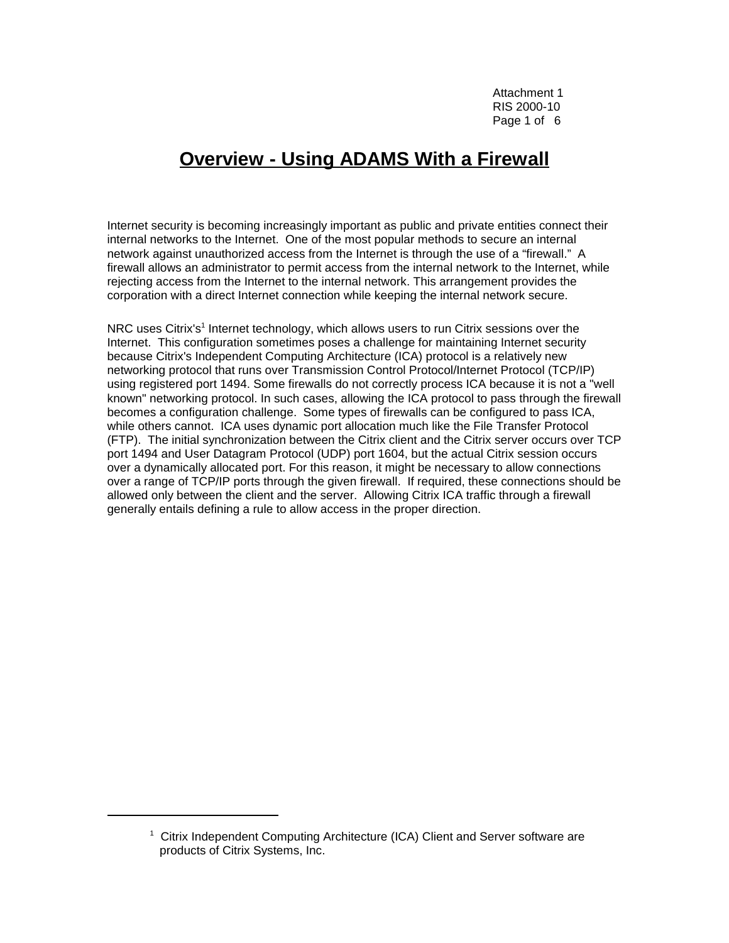Attachment 1 RIS 2000-10 Page 1 of 6

## **Overview - Using ADAMS With a Firewall**

Internet security is becoming increasingly important as public and private entities connect their internal networks to the Internet. One of the most popular methods to secure an internal network against unauthorized access from the Internet is through the use of a "firewall." A firewall allows an administrator to permit access from the internal network to the Internet, while rejecting access from the Internet to the internal network. This arrangement provides the corporation with a direct Internet connection while keeping the internal network secure.

NRC uses Citrix's<sup>1</sup> Internet technology, which allows users to run Citrix sessions over the Internet. This configuration sometimes poses a challenge for maintaining Internet security because Citrix's Independent Computing Architecture (ICA) protocol is a relatively new networking protocol that runs over Transmission Control Protocol/Internet Protocol (TCP/IP) using registered port 1494. Some firewalls do not correctly process ICA because it is not a "well known" networking protocol. In such cases, allowing the ICA protocol to pass through the firewall becomes a configuration challenge. Some types of firewalls can be configured to pass ICA, while others cannot. ICA uses dynamic port allocation much like the File Transfer Protocol (FTP). The initial synchronization between the Citrix client and the Citrix server occurs over TCP port 1494 and User Datagram Protocol (UDP) port 1604, but the actual Citrix session occurs over a dynamically allocated port. For this reason, it might be necessary to allow connections over a range of TCP/IP ports through the given firewall. If required, these connections should be allowed only between the client and the server. Allowing Citrix ICA traffic through a firewall generally entails defining a rule to allow access in the proper direction.

<sup>&</sup>lt;sup>1</sup> Citrix Independent Computing Architecture (ICA) Client and Server software are products of Citrix Systems, Inc.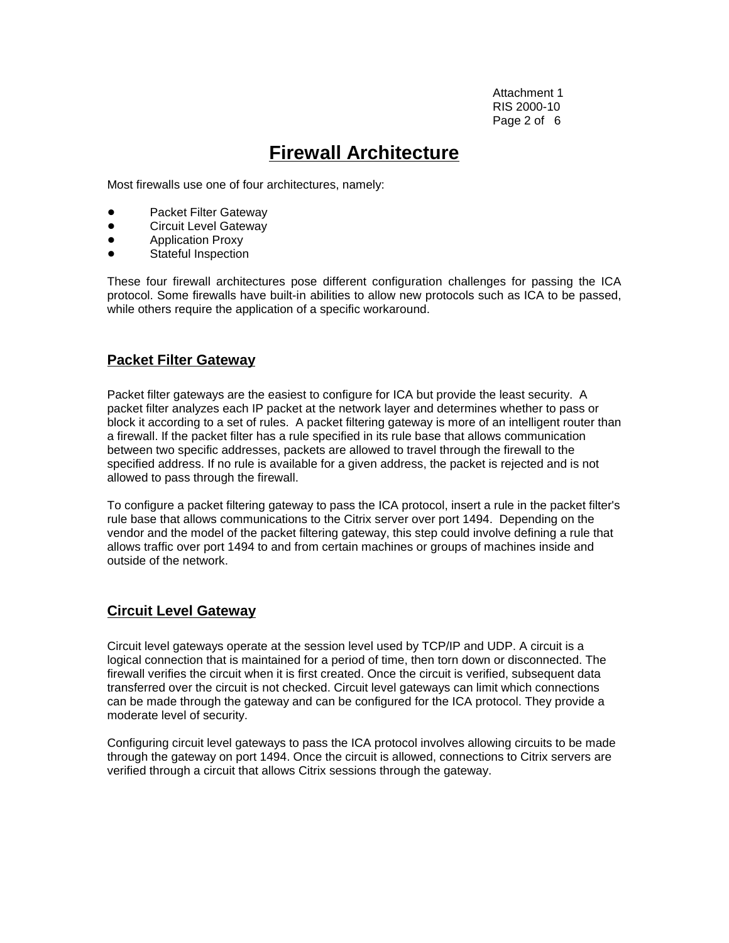Attachment 1 RIS 2000-10 Page 2 of 6

## **Firewall Architecture**

Most firewalls use one of four architectures, namely:

- Packet Filter Gateway
- Circuit Level Gateway
- **•** Application Proxy
- Stateful Inspection

These four firewall architectures pose different configuration challenges for passing the ICA protocol. Some firewalls have built-in abilities to allow new protocols such as ICA to be passed, while others require the application of a specific workaround.

## **Packet Filter Gateway**

Packet filter gateways are the easiest to configure for ICA but provide the least security. A packet filter analyzes each IP packet at the network layer and determines whether to pass or block it according to a set of rules. A packet filtering gateway is more of an intelligent router than a firewall. If the packet filter has a rule specified in its rule base that allows communication between two specific addresses, packets are allowed to travel through the firewall to the specified address. If no rule is available for a given address, the packet is rejected and is not allowed to pass through the firewall.

To configure a packet filtering gateway to pass the ICA protocol, insert a rule in the packet filter's rule base that allows communications to the Citrix server over port 1494. Depending on the vendor and the model of the packet filtering gateway, this step could involve defining a rule that allows traffic over port 1494 to and from certain machines or groups of machines inside and outside of the network.

## **Circuit Level Gateway**

Circuit level gateways operate at the session level used by TCP/IP and UDP. A circuit is a logical connection that is maintained for a period of time, then torn down or disconnected. The firewall verifies the circuit when it is first created. Once the circuit is verified, subsequent data transferred over the circuit is not checked. Circuit level gateways can limit which connections can be made through the gateway and can be configured for the ICA protocol. They provide a moderate level of security.

Configuring circuit level gateways to pass the ICA protocol involves allowing circuits to be made through the gateway on port 1494. Once the circuit is allowed, connections to Citrix servers are verified through a circuit that allows Citrix sessions through the gateway.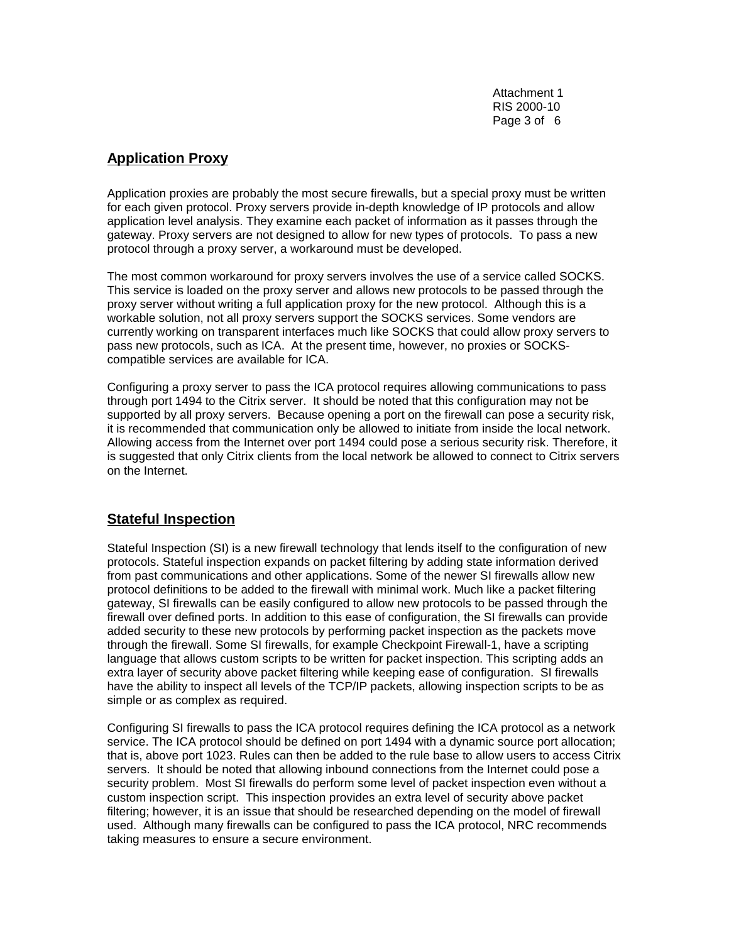Attachment 1 RIS 2000-10 Page 3 of 6

## **Application Proxy**

Application proxies are probably the most secure firewalls, but a special proxy must be written for each given protocol. Proxy servers provide in-depth knowledge of IP protocols and allow application level analysis. They examine each packet of information as it passes through the gateway. Proxy servers are not designed to allow for new types of protocols. To pass a new protocol through a proxy server, a workaround must be developed.

The most common workaround for proxy servers involves the use of a service called SOCKS. This service is loaded on the proxy server and allows new protocols to be passed through the proxy server without writing a full application proxy for the new protocol. Although this is a workable solution, not all proxy servers support the SOCKS services. Some vendors are currently working on transparent interfaces much like SOCKS that could allow proxy servers to pass new protocols, such as ICA. At the present time, however, no proxies or SOCKScompatible services are available for ICA.

Configuring a proxy server to pass the ICA protocol requires allowing communications to pass through port 1494 to the Citrix server. It should be noted that this configuration may not be supported by all proxy servers. Because opening a port on the firewall can pose a security risk, it is recommended that communication only be allowed to initiate from inside the local network. Allowing access from the Internet over port 1494 could pose a serious security risk. Therefore, it is suggested that only Citrix clients from the local network be allowed to connect to Citrix servers on the Internet.

## **Stateful Inspection**

Stateful Inspection (SI) is a new firewall technology that lends itself to the configuration of new protocols. Stateful inspection expands on packet filtering by adding state information derived from past communications and other applications. Some of the newer SI firewalls allow new protocol definitions to be added to the firewall with minimal work. Much like a packet filtering gateway, SI firewalls can be easily configured to allow new protocols to be passed through the firewall over defined ports. In addition to this ease of configuration, the SI firewalls can provide added security to these new protocols by performing packet inspection as the packets move through the firewall. Some SI firewalls, for example Checkpoint Firewall-1, have a scripting language that allows custom scripts to be written for packet inspection. This scripting adds an extra layer of security above packet filtering while keeping ease of configuration. SI firewalls have the ability to inspect all levels of the TCP/IP packets, allowing inspection scripts to be as simple or as complex as required.

Configuring SI firewalls to pass the ICA protocol requires defining the ICA protocol as a network service. The ICA protocol should be defined on port 1494 with a dynamic source port allocation; that is, above port 1023. Rules can then be added to the rule base to allow users to access Citrix servers. It should be noted that allowing inbound connections from the Internet could pose a security problem. Most SI firewalls do perform some level of packet inspection even without a custom inspection script. This inspection provides an extra level of security above packet filtering; however, it is an issue that should be researched depending on the model of firewall used. Although many firewalls can be configured to pass the ICA protocol, NRC recommends taking measures to ensure a secure environment.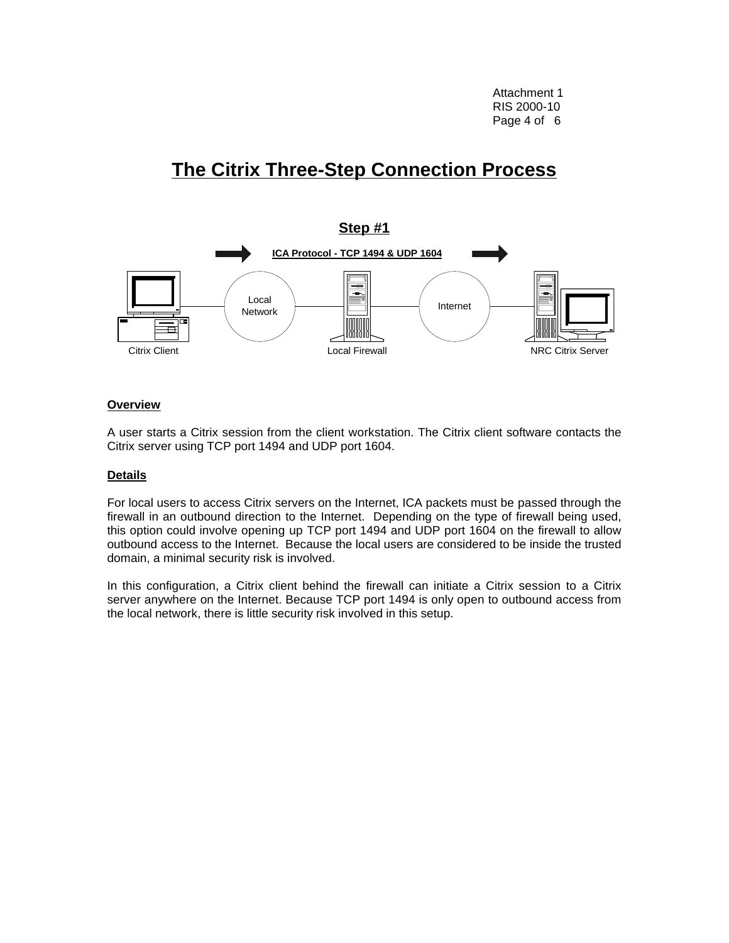# **The Citrix Three-Step Connection Process**



## **Overview**

A user starts a Citrix session from the client workstation. The Citrix client software contacts the Citrix server using TCP port 1494 and UDP port 1604.

## **Details**

For local users to access Citrix servers on the Internet, ICA packets must be passed through the firewall in an outbound direction to the Internet. Depending on the type of firewall being used, this option could involve opening up TCP port 1494 and UDP port 1604 on the firewall to allow outbound access to the Internet. Because the local users are considered to be inside the trusted domain, a minimal security risk is involved.

In this configuration, a Citrix client behind the firewall can initiate a Citrix session to a Citrix server anywhere on the Internet. Because TCP port 1494 is only open to outbound access from the local network, there is little security risk involved in this setup.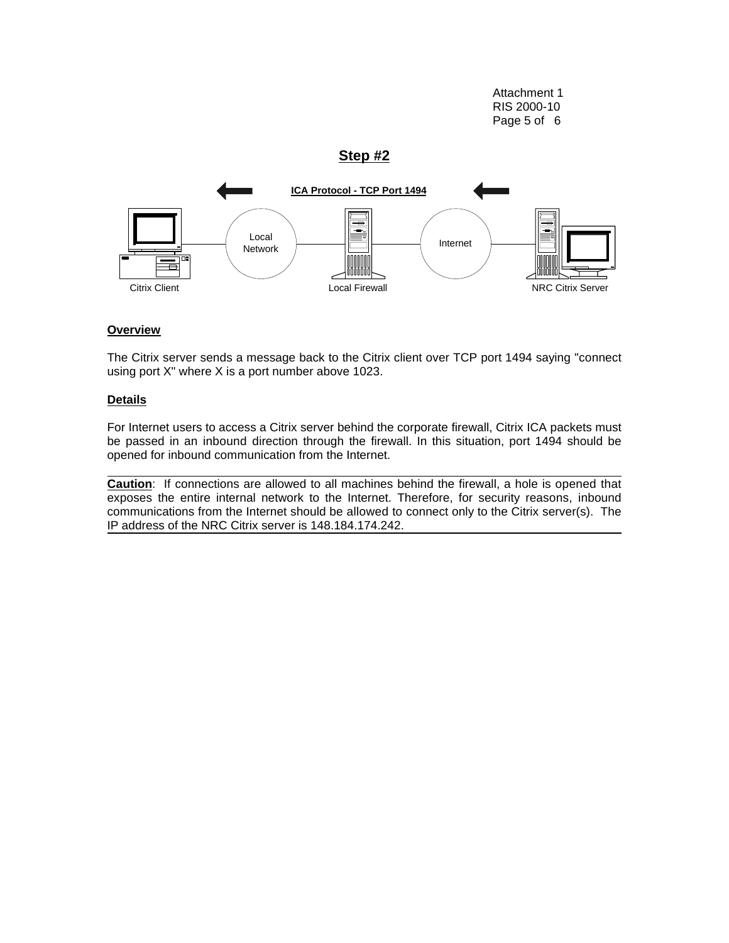Attachment 1 RIS 2000-10 Page 5 of 6

## **Step #2**



## **Overview**

The Citrix server sends a message back to the Citrix client over TCP port 1494 saying "connect using port X" where X is a port number above 1023.

## **Details**

For Internet users to access a Citrix server behind the corporate firewall, Citrix ICA packets must be passed in an inbound direction through the firewall. In this situation, port 1494 should be opened for inbound communication from the Internet.

**Caution**: If connections are allowed to all machines behind the firewall, a hole is opened that exposes the entire internal network to the Internet. Therefore, for security reasons, inbound communications from the Internet should be allowed to connect only to the Citrix server(s). The IP address of the NRC Citrix server is 148.184.174.242.